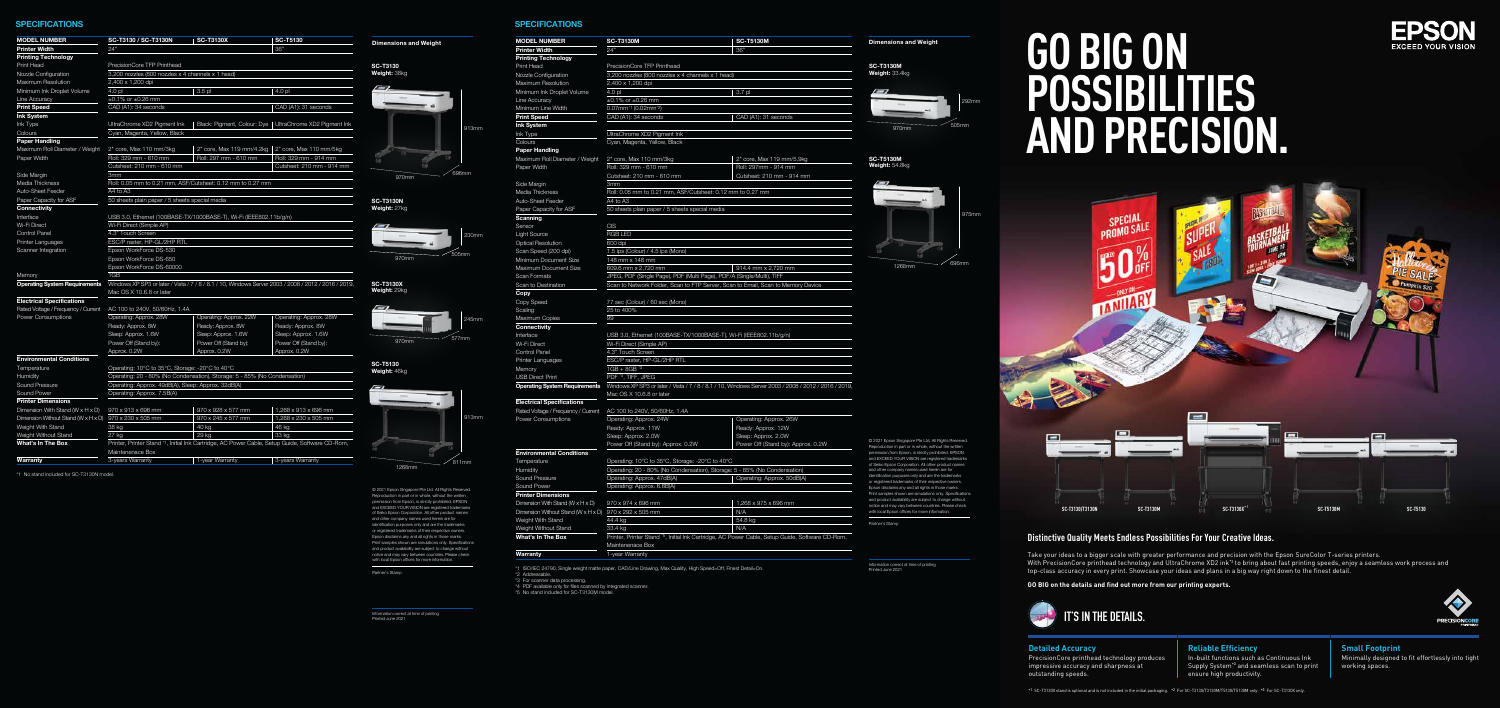#### **Distinctive Quality Meets Endless Possibilities For Your Creative Ideas.**

Take your ideas to a bigger scale with greater performance and precision with the Epson SureColor T-series printers. With PrecisionCore printhead technology and UltraChrome XD2 ink\*2 to bring about fast printing speeds, enjoy a seamless work process and top-class accuracy in every print. Showcase your ideas and plans in a big way right down to the finest detail.

#### **Reliable Efficiency** In-built functions such as Continuous Ink Supply System<sup>\*3</sup> and seamless scan to print

**GO BIG on the details and find out more from our printing experts.** 



# **IT'S IN THE DETAILS.**

PRECISION CORE

# **GO BIG ON POSSIBILITIES AND PRECISION.**

#### **Detailed Accuracy**

© 2021 Epson Singapore Pte Ltd. All Rights Reserved. Reproduction in part or in whole, without the written permission from Epson, is strictly prohibited. EPSON and EXCEED YOUR VISION are registered trademarks of Seiko Epson Corporation. All other product names and other company names used herein are for identification purposes only and are the trademarks or registered trademarks of their respective owners. Epson disclaims any and all rights in those marks. Print samples shown are simulations only. Specifications and product availability are subject to change without notice and may vary between countries. Please check with local Epson offices for more information.

> PrecisionCore printhead technology produces impressive accuracy and sharpness at outstanding speeds.

ensure high productivity.

**Small Footprint** Minimally designed to fit effortlessly into tight working spaces.

\*1 SC-T3130X stand is optional and is not included in the initial packaging. \*2 For SC-T3130/T3130M/T5130/T5130M only. \*3 For SC-T3130X only.



#### **SPECIFICATIONS**

Information correct at time of printing Printed June 2021

Partner's Stamp

an to Memory Device 914.4 mm x 2,720 mm

windows / 2008 / 2012 / 2016 / 2019,

ondensatior Approx. 26W rox. 12W  $\delta$ rox. 2.0W Stand by): Approx. 0.2W  $P$ : Approx. 50dB(A)

5 x 696 mm

<sub>-</sub><br>Printer Stand \* Setup Guide, Software CD-Rom,

© 2021 Epson Singapore Pte Ltd. All Rights Reserved. Reproduction in part or in whole, without the written permission from Epson, is strictly prohibited. EPSON and EXCEED YOUR VISION are registered trademarks of Seiko Epson Corporation. All other product names and other company names used herein are for dentification purposes only and are the trademarks or registered trademarks of their respective owners. Epson disclaims any and all rights in those marks. Print samples shown are simulations only. Specifications and product availability are subject to change without notice and may vary between countries. Please check with local Epson offices for more information.

| <b>MODEL NUMBER</b>                            | <b>SC-T3130M</b><br><b>SC-T5130M</b>                                         |                       |  |  |  |
|------------------------------------------------|------------------------------------------------------------------------------|-----------------------|--|--|--|
| Printer Width                                  | 24'                                                                          | 36"                   |  |  |  |
| <b>Printing Technology</b>                     |                                                                              |                       |  |  |  |
| Print Head                                     | PrecisionCore TFP Printhead                                                  |                       |  |  |  |
| Nozzle Configuration                           | 3,200 nozzles (800 nozzles x 4 channels x 1 head)                            |                       |  |  |  |
| Maximum Resolution                             | 2,400 x 1,200 dpi                                                            |                       |  |  |  |
| Minimum Ink Droplet Volume                     | 4.0 <sub>pl</sub><br>3.7 pl                                                  |                       |  |  |  |
| Line Accuracy                                  | $\pm 0.1\%$ or $\pm 0.26$ mm                                                 |                       |  |  |  |
| Minimum Line Width                             | 0.07mm <sup>*1</sup> (0.02mm <sup>*2</sup> )                                 |                       |  |  |  |
| Print Speed                                    | CAD (A1): 34 seconds                                                         | CAD (A1): 31 second   |  |  |  |
| <b>Ink System</b>                              |                                                                              |                       |  |  |  |
| Ink Type                                       | UltraChrome XD2 Pigment Ink                                                  |                       |  |  |  |
| Colours                                        | Cyan, Magenta, Yellow, Black                                                 |                       |  |  |  |
| Paper Handling                                 |                                                                              |                       |  |  |  |
| Maximum Roll Diameter / Weight                 | 2" core, Max 110 mm/3kg                                                      | 2" core, Max 119 mm   |  |  |  |
| Paper Width                                    | Roll: 329 mm - 610 mm                                                        | Roll: 297mm - 914 m   |  |  |  |
|                                                | Cutsheet: 210 mm - 610 mm                                                    | Cutsheet: 210 mm - 9  |  |  |  |
| Side Margin                                    | 3mm                                                                          |                       |  |  |  |
| Media Thickness                                | Roll: 0.05 mm to 0.21 mm, ASF/Cutsheet: 0.12 mm to 0.27 mm                   |                       |  |  |  |
| Auto-Sheet Feeder                              | A4 to A3                                                                     |                       |  |  |  |
| Paper Capacity for ASF                         | 50 sheets plain paper / 5 sheets special media                               |                       |  |  |  |
| Scanning                                       |                                                                              |                       |  |  |  |
| Sensor                                         | <b>CIS</b>                                                                   |                       |  |  |  |
| Light Source                                   | <b>RGB LED</b>                                                               |                       |  |  |  |
| <b>Optical Resolution</b>                      | 600 dpi                                                                      |                       |  |  |  |
| Scan Speed (200 dpi)                           | 1.5 ips (Colour) / 4.5 ips (Mono)                                            |                       |  |  |  |
| Minimum Document Size                          | 148 mm x 148 mm                                                              |                       |  |  |  |
| Maximum Document Size                          | 609.6 mm x 2,720 mm                                                          | 914.4 mm x 2,720 m    |  |  |  |
| <b>Scan Formats</b>                            | JPEG, PDF (Single Page), PDF (Multi Page), PDF/A (Single/Multi), TIFF        |                       |  |  |  |
| Scan to Destination                            | Scan to Network Folder, Scan to FTP Server, Scan to Email, Scan to Me        |                       |  |  |  |
| Copy                                           |                                                                              |                       |  |  |  |
| Copy Speed                                     | 77 sec (Colour) / 60 sec (Mono)                                              |                       |  |  |  |
| Scaling                                        | 25 to 400%                                                                   |                       |  |  |  |
| Maximum Copies                                 | 99                                                                           |                       |  |  |  |
| Connectivity                                   |                                                                              |                       |  |  |  |
| Interface                                      | USB 3.0, Ethernet (100BASE-TX/1000BASE-T), Wi-Fi (IEEE802.11b/g/n)           |                       |  |  |  |
| Wi-Fi Direct                                   | Wi-Fi Direct (Simple AP)                                                     |                       |  |  |  |
| Control Panel                                  | 4.3" Touch Screen                                                            |                       |  |  |  |
| Printer Languages                              | ESC/P raster, HP-GL/2HP RTL                                                  |                       |  |  |  |
| Memory                                         | $1GB + 8GB * 3$                                                              |                       |  |  |  |
| <b>USB Direct Print</b>                        | PDF <sup>*4</sup> , TIFF, JPEG                                               |                       |  |  |  |
| <b>Operating System Requirements</b>           | Windows XP SP3 or later / Vista / 7 / 8 / 8.1 / 10, Windows Server 2003 / 2  |                       |  |  |  |
|                                                | Mac OS X 10.6.8 or later                                                     |                       |  |  |  |
| <b>Electrical Specifications</b>               |                                                                              |                       |  |  |  |
| Rated Voltage / Frequency / Current            | AC 100 to 240V, 50/60Hz, 1.4A                                                |                       |  |  |  |
| Power Consumptions                             | Operating: Approx. 24W                                                       | Operating: Approx. 2  |  |  |  |
|                                                | Ready: Approx. 11W                                                           | Ready: Approx. 12W    |  |  |  |
|                                                | Sleep: Approx. 2.0W                                                          | Sleep: Approx. 2.0W   |  |  |  |
|                                                | Power Off (Stand by): Approx. 0.2W                                           | Power Off (Stand by): |  |  |  |
| <b>Environmental Conditions</b>                |                                                                              |                       |  |  |  |
| Temperature                                    | Operating: 10°C to 35°C, Storage: -20°C to 40°C                              |                       |  |  |  |
| Humidity                                       | Operating: 20 - 80% (No Condensation), Storage: 5 - 85% (No Condens          |                       |  |  |  |
| Sound Pressure                                 | Operating: Approx. 47dB(A)                                                   | Operating: Approx. 5  |  |  |  |
| Sound Power                                    | Operating: Approx. 6.6B(A)                                                   |                       |  |  |  |
| <b>Printer Dimensions</b>                      |                                                                              |                       |  |  |  |
| Dimension With Stand ( $W \times H \times D$ ) | 970 x 974 x 696 mm                                                           | 1,268 x 975 x 696 mi  |  |  |  |
| Dimension Without Stand (W x H x D)            | 970 x 292 x 505 mm                                                           | N/A                   |  |  |  |
| Weight With Stand                              | 54.8 kg<br>44.4 kg                                                           |                       |  |  |  |
| Weight Without Stand                           | 33.4 kg                                                                      | N/A                   |  |  |  |
| What's In The Box                              | Printer, Printer Stand *5, Initial Ink Cartridge, AC Power Cable, Setup Guid |                       |  |  |  |
|                                                | Maintenenace Box                                                             |                       |  |  |  |
| Warranty                                       | 1-year Warranty                                                              |                       |  |  |  |
|                                                |                                                                              |                       |  |  |  |



\*2 Addressable.

\*3 For scanner data processing. \*4 PDF available only for files scanned by integrated scanner. \*5 No stand included for SC-T3130M model.

292mm

1268mm

975mm

696mm

 $\frac{1}{970mm}$  505mm

#### **SPECIFICATIONS**

Information correct at time of printing Printed June 2021

Partner's Stamp

**Dimensions and Weight**

1268mm

913mm

811mm

| <b>MODEL NUMBER</b>                                    | SC-T3130 / SC-T3130N                                                                                                                     | <b>SC-T3130X</b>                                                   | <b>SC-T5130</b>                                           | <b>Dimensions</b> |  |  |  |
|--------------------------------------------------------|------------------------------------------------------------------------------------------------------------------------------------------|--------------------------------------------------------------------|-----------------------------------------------------------|-------------------|--|--|--|
| <b>Printer Width</b>                                   | 24"                                                                                                                                      |                                                                    | 36"                                                       |                   |  |  |  |
| <b>Printing Technology</b>                             |                                                                                                                                          |                                                                    |                                                           |                   |  |  |  |
| Print Head                                             | PrecisionCore TFP Printhead                                                                                                              |                                                                    |                                                           | <b>SC-T3130</b>   |  |  |  |
| Nozzle Configuration                                   | 3,200 nozzles (800 nozzles x 4 channels x 1 head)                                                                                        |                                                                    |                                                           | Weight: 38kg      |  |  |  |
| Maximum Resolution                                     | 2,400 x 1,200 dpi                                                                                                                        |                                                                    |                                                           |                   |  |  |  |
| Minimum Ink Droplet Volume                             | $4.0$ pl                                                                                                                                 | 3.5 pl                                                             | 4.0 pl                                                    |                   |  |  |  |
| Line Accuracy                                          | $\pm 0.1\%$ or $\pm 0.26$ mm                                                                                                             |                                                                    |                                                           |                   |  |  |  |
| <b>Print Speed</b>                                     | CAD (A1): 34 seconds                                                                                                                     |                                                                    | CAD (A1): 31 seconds                                      |                   |  |  |  |
| <b>Ink System</b>                                      |                                                                                                                                          |                                                                    |                                                           |                   |  |  |  |
| Ink Type                                               | UltraChrome XD2 Pigment Ink                                                                                                              |                                                                    | Black: Pigment, Colour: Dye   UltraChrome XD2 Pigment Ink |                   |  |  |  |
| Colours                                                | Cyan, Magenta, Yellow, Black                                                                                                             |                                                                    |                                                           |                   |  |  |  |
| <b>Paper Handling</b>                                  |                                                                                                                                          |                                                                    |                                                           |                   |  |  |  |
| Maximum Roll Diameter / Weight                         | 2" core, Max 110 mm/3kg                                                                                                                  | 2" core, Max 119 mm/4.2kg   2" core, Max 110 mm/5kg                |                                                           |                   |  |  |  |
| Paper Width                                            | Roll: 329 mm - 610 mm                                                                                                                    | Roll: 297 mm - 610 mm                                              | Roll: 329 mm - 914 mm                                     |                   |  |  |  |
|                                                        | Cutsheet: 210 mm - 610 mm                                                                                                                |                                                                    | Cutsheet: 210 mm - 914 mm                                 |                   |  |  |  |
| Side Margin                                            | 3mm                                                                                                                                      |                                                                    |                                                           | 970r              |  |  |  |
| Media Thickness                                        |                                                                                                                                          | Roll: 0.05 mm to 0.21 mm, ASF/Cutsheet: 0.12 mm to 0.27 mm         |                                                           |                   |  |  |  |
| Auto-Sheet Feeder                                      | A4 to A3                                                                                                                                 |                                                                    |                                                           |                   |  |  |  |
| Paper Capacity for ASF                                 | 50 sheets plain paper / 5 sheets special media                                                                                           |                                                                    |                                                           | <b>SC-T3130N</b>  |  |  |  |
| <b>Connectivity</b>                                    |                                                                                                                                          |                                                                    |                                                           | Weight: 27kg      |  |  |  |
| Interface                                              |                                                                                                                                          | USB 3.0, Ethernet (100BASE-TX/1000BASE-T), Wi-Fi (IEEE802.11b/g/n) |                                                           |                   |  |  |  |
| Wi-Fi Direct                                           | Wi-Fi Direct (Simple AP)                                                                                                                 |                                                                    |                                                           |                   |  |  |  |
| <b>Control Panel</b>                                   | 4.3" Touch Screen                                                                                                                        |                                                                    |                                                           |                   |  |  |  |
| Printer Languages                                      | ESC/P raster, HP-GL/2HP RTL                                                                                                              |                                                                    |                                                           |                   |  |  |  |
| Scanner Integration                                    | Epson WorkForce DS-530                                                                                                                   |                                                                    |                                                           |                   |  |  |  |
|                                                        | Epson WorkForce DS-650                                                                                                                   |                                                                    |                                                           |                   |  |  |  |
|                                                        | Epson WorkForce DS-60000                                                                                                                 |                                                                    |                                                           |                   |  |  |  |
| Memory                                                 | 1GB                                                                                                                                      |                                                                    |                                                           |                   |  |  |  |
| <b>Operating System Requirements</b>                   | Windows XP SP3 or later / Vista / 7 / 8 / 8.1 / 10, Windows Server 2003 / 2008 / 2012 / 2016 / 2019,<br><b>SC-T3130X</b><br>Weight: 29kg |                                                                    |                                                           |                   |  |  |  |
|                                                        | Mac OS X 10.6.8 or later                                                                                                                 |                                                                    |                                                           |                   |  |  |  |
| <b>Electrical Specifications</b>                       |                                                                                                                                          |                                                                    |                                                           |                   |  |  |  |
| Rated Voltage / Frequency / Current                    | AC 100 to 240V, 50/60Hz, 1.4A                                                                                                            |                                                                    |                                                           |                   |  |  |  |
| <b>Power Consumptions</b>                              | Operating: Approx. 28W                                                                                                                   | Operating: Approx. 22W                                             | Operating: Approx. 28W                                    |                   |  |  |  |
|                                                        | Ready: Approx. 8W                                                                                                                        | Ready: Approx. 8W                                                  | Ready: Approx. 8W                                         |                   |  |  |  |
|                                                        | Sleep: Approx. 1.6W                                                                                                                      | Sleep: Approx. 1.6W                                                | Sleep: Approx. 1.6W                                       |                   |  |  |  |
|                                                        | Power Off (Stand by):                                                                                                                    | Power Off (Stand by):                                              | Power Off (Stand by):                                     | 970r              |  |  |  |
|                                                        | Approx. 0.2W                                                                                                                             | Approx. 0.2W                                                       | Approx. 0.2W                                              |                   |  |  |  |
| <b>Environmental Conditions</b>                        |                                                                                                                                          |                                                                    |                                                           | <b>SC-T5130</b>   |  |  |  |
| Temperature                                            | Operating: 10°C to 35°C, Storage: -20°C to 40°C                                                                                          |                                                                    |                                                           | Weight: 46kg      |  |  |  |
| Humidity                                               | Operating: 20 - 80% (No Condensation), Storage: 5 - 85% (No Condensation)                                                                |                                                                    |                                                           |                   |  |  |  |
| Sound Pressure                                         | Operating: Approx. 49dB(A), Sleep: Approx. 32dB(A)                                                                                       |                                                                    |                                                           |                   |  |  |  |
| Sound Power                                            | Operating: Approx. 7.5B(A)                                                                                                               |                                                                    |                                                           |                   |  |  |  |
| <b>Printer Dimensions</b>                              |                                                                                                                                          |                                                                    |                                                           |                   |  |  |  |
| Dimension With Stand (W $\times$ H $\times$ D)         | 970 x 913 x 696 mm                                                                                                                       | 970 x 928 x 577 mm                                                 | 1,268 x 913 x 696 mm                                      |                   |  |  |  |
| Dimension Without Stand (W x H x D) 970 x 230 x 505 mm |                                                                                                                                          | 970 x 245 x 577 mm                                                 | 1,268 x 230 x 505 mm                                      |                   |  |  |  |
| Weight With Stand                                      | 38 kg                                                                                                                                    | 40 kg                                                              | 46 kg                                                     |                   |  |  |  |
| Weight Without Stand                                   | $27$ kg                                                                                                                                  | 29 kg                                                              | 33 ka                                                     |                   |  |  |  |
| <b>What's In The Box</b>                               | Printer, Printer Stand *1, Initial Ink Cartridge, AC Power Cable, Setup Guide, Software CD-Rom,                                          |                                                                    |                                                           |                   |  |  |  |
|                                                        | Maintenenace Box                                                                                                                         |                                                                    |                                                           |                   |  |  |  |
| Warranty                                               | 3-years Warranty                                                                                                                         | 1-year Warranty                                                    | 3-years Warranty                                          |                   |  |  |  |

\*1 No stand included for SC-T3130N model.

245mm

577mm 970mm

970mm 505mm

970mm 696mm



230mm

 $13<sub>mn</sub>$